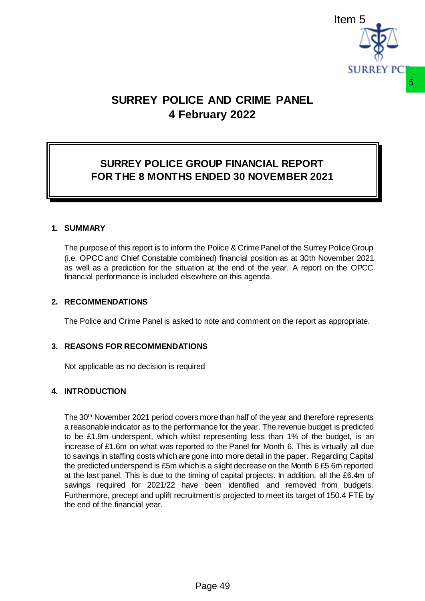

# **SURREY POLICE AND CRIME PANEL 4 February 2022**

## **SURREY POLICE GROUP FINANCIAL REPORT FOR THE 8 MONTHS ENDED 30 NOVEMBER 2021**

### **1. SUMMARY**

The purpose of this report is to inform the Police & Crime Panel of the Surrey Police Group (i.e. OPCC and Chief Constable combined) financial position as at 30th November 2021 as well as a prediction for the situation at the end of the year. A report on the OPCC financial performance is included elsewhere on this agenda.

### **2. RECOMMENDATIONS**

The Police and Crime Panel is asked to note and comment on the report as appropriate.

### **3. REASONS FOR RECOMMENDATIONS**

Not applicable as no decision is required

## **4. INTRODUCTION**

The 30<sup>th</sup> November 2021 period covers more than half of the year and therefore represents a reasonable indicator as to the performance for the year. The revenue budget is predicted to be £1.9m underspent, which whilst representing less than 1% of the budget, is an increase of £1.6m on what was reported to the Panel for Month 6. This is virtually all due to savings in staffing costs which are gone into more detail in the paper. Regarding Capital the predicted underspend is £5m which is a slight decrease on the Month 6 £5.6m reported at the last panel. This is due to the timing of capital projects. In addition, all the £6.4m of savings required for 2021/22 have been identified and removed from budgets. Furthermore, precept and uplift recruitment is projected to meet its target of 150.4 FTE by the end of the financial year. **E AND CRIME PANEL**<br> **ENDIT CONTEXT CONTEXT CONTEXT CONTEXT CONTEXT CONTEXT CONTEXT CONTEXT CONTEXT CONTEXT CONTEXT CONTEXT CONTEXT CONTEXT CONTEXT CONTEXT CONTEXT CONTEXT CONTEXT CONTEXT CONTEXT CONTEXT CONTEXT CONTEXT CO**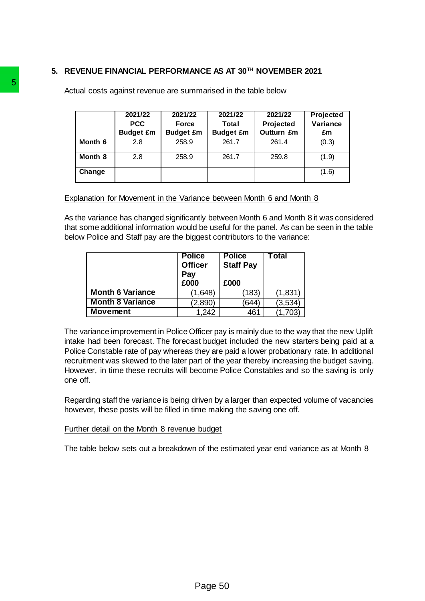## **5. REVENUE FINANCIAL PERFORMANCE AS AT 30TH NOVEMBER 2021**

| Month 6<br>261.7<br>261.4<br>2.8<br>258.9<br>261.7<br>Month 8<br>258.9<br>2.8<br>259.8<br>Change<br>Explanation for Movement in the Variance between Month 6 and Month 8<br>below Police and Staff pay are the biggest contributors to the variance:<br><b>Police</b><br><b>Police</b><br>Total<br><b>Officer</b><br><b>Staff Pay</b><br>Pay<br>£000<br>£000<br><b>Month 6 Variance</b><br>(183)<br>(1,831)<br>(1,648)<br><b>Month 8 Variance</b><br>(2,890)<br>(644)<br>(3,534)<br><b>Movement</b><br>1,242<br>461<br>(1,703) | As the variance has changed significantly between Month 6 and Month 8 it was cons<br>that some additional information would be useful for the panel. As can be seen in th                                                                                                                                                                                                                                                                   |  | 2021/22<br><b>PCC</b><br><b>Budget £m</b> | 2021/22<br><b>Force</b><br><b>Budget £m</b> | 2021/22<br><b>Total</b><br><b>Budget £m</b> | 2021/22<br>Projected<br>Outturn £m | <b>Projected</b><br>Variance<br>£m |
|--------------------------------------------------------------------------------------------------------------------------------------------------------------------------------------------------------------------------------------------------------------------------------------------------------------------------------------------------------------------------------------------------------------------------------------------------------------------------------------------------------------------------------|---------------------------------------------------------------------------------------------------------------------------------------------------------------------------------------------------------------------------------------------------------------------------------------------------------------------------------------------------------------------------------------------------------------------------------------------|--|-------------------------------------------|---------------------------------------------|---------------------------------------------|------------------------------------|------------------------------------|
|                                                                                                                                                                                                                                                                                                                                                                                                                                                                                                                                |                                                                                                                                                                                                                                                                                                                                                                                                                                             |  |                                           |                                             |                                             |                                    | (0.3)                              |
|                                                                                                                                                                                                                                                                                                                                                                                                                                                                                                                                |                                                                                                                                                                                                                                                                                                                                                                                                                                             |  |                                           |                                             |                                             |                                    | (1.9)                              |
|                                                                                                                                                                                                                                                                                                                                                                                                                                                                                                                                |                                                                                                                                                                                                                                                                                                                                                                                                                                             |  |                                           |                                             |                                             |                                    | (1.6)                              |
| recruitment was skewed to the later part of the year thereby increasing the budget a<br>one off.<br>however, these posts will be filled in time making the saving one off.<br>Further detail on the Month 8 revenue budget<br>The table below sets out a breakdown of the estimated year end variance as at Mo                                                                                                                                                                                                                 | The variance improvement in Police Officer pay is mainly due to the way that the nev<br>intake had been forecast. The forecast budget included the new starters being pa<br>Police Constable rate of pay whereas they are paid a lower probationary rate. In add<br>However, in time these recruits will become Police Constables and so the saving<br>Regarding staff the variance is being driven by a larger than expected volume of vac |  |                                           |                                             |                                             |                                    |                                    |
|                                                                                                                                                                                                                                                                                                                                                                                                                                                                                                                                |                                                                                                                                                                                                                                                                                                                                                                                                                                             |  |                                           |                                             |                                             |                                    |                                    |
|                                                                                                                                                                                                                                                                                                                                                                                                                                                                                                                                |                                                                                                                                                                                                                                                                                                                                                                                                                                             |  |                                           |                                             |                                             |                                    |                                    |
|                                                                                                                                                                                                                                                                                                                                                                                                                                                                                                                                |                                                                                                                                                                                                                                                                                                                                                                                                                                             |  |                                           |                                             |                                             |                                    |                                    |
|                                                                                                                                                                                                                                                                                                                                                                                                                                                                                                                                |                                                                                                                                                                                                                                                                                                                                                                                                                                             |  |                                           |                                             |                                             |                                    |                                    |
|                                                                                                                                                                                                                                                                                                                                                                                                                                                                                                                                |                                                                                                                                                                                                                                                                                                                                                                                                                                             |  |                                           |                                             |                                             |                                    |                                    |
|                                                                                                                                                                                                                                                                                                                                                                                                                                                                                                                                |                                                                                                                                                                                                                                                                                                                                                                                                                                             |  |                                           |                                             |                                             |                                    |                                    |
|                                                                                                                                                                                                                                                                                                                                                                                                                                                                                                                                |                                                                                                                                                                                                                                                                                                                                                                                                                                             |  |                                           |                                             |                                             |                                    |                                    |
|                                                                                                                                                                                                                                                                                                                                                                                                                                                                                                                                |                                                                                                                                                                                                                                                                                                                                                                                                                                             |  |                                           |                                             |                                             |                                    |                                    |

#### Explanation for Movement in the Variance between Month 6 and Month 8

As the variance has changed significantly between Month 6 and Month 8 it was considered that some additional information would be useful for the panel. As can be seen in the table below Police and Staff pay are the biggest contributors to the variance:

|                         | <b>Police</b><br><b>Officer</b><br>Pay<br>£000 | <b>Police</b><br><b>Staff Pay</b><br>£000 | Гotal   |
|-------------------------|------------------------------------------------|-------------------------------------------|---------|
| <b>Month 6 Variance</b> | (1,648)                                        | (183)                                     | (1,831) |
| <b>Month 8 Variance</b> | (2,890)                                        | 644                                       | (3,534) |
| <b>Movement</b>         | 1,242                                          | 461                                       | ,703    |

The variance improvement in Police Officer pay is mainly due to the way that the new Uplift intake had been forecast. The forecast budget included the new starters being paid at a Police Constable rate of pay whereas they are paid a lower probationary rate. In additional recruitment was skewed to the later part of the year thereby increasing the budget saving. However, in time these recruits will become Police Constables and so the saving is only one off.

Regarding staff the variance is being driven by a larger than expected volume of vacancies however, these posts will be filled in time making the saving one off.

#### Further detail on the Month 8 revenue budget

The table below sets out a breakdown of the estimated year end variance as at Month 8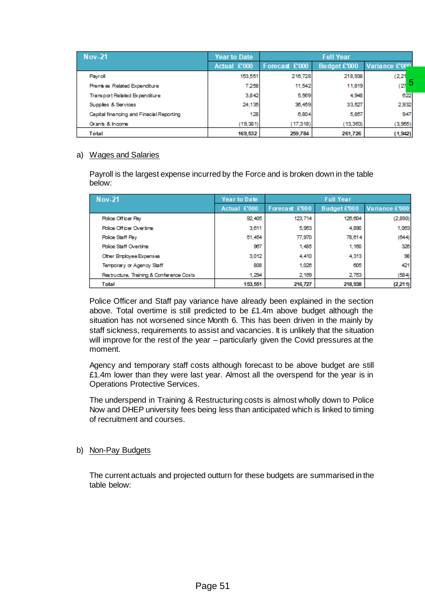| <b>Nov-21</b>                            | <b>Year to Date</b> |                | <b>Full Year</b> |                |
|------------------------------------------|---------------------|----------------|------------------|----------------|
|                                          | Actual £'000        | Forecast £'000 | Budget £'000     | Variance £'000 |
| Payroll                                  | 153,551             | 216,728        | 218,938          | (2, 21)        |
| Premises Related Expenditure             | 7.258               | 11,542         | 11,819           | 5<br>(27)      |
| Transport Related Expenditure            | 3.842               | 5,569          | 4.948            | 622            |
| Supplies & Services                      | 24,135              | 36,459         | 33,527           | 2,932          |
| Capital financing and Finacial Reporting | 128                 | 6,804          | 5,857            | 947            |
| Grants & Income                          | (19, 381)           | (17,318)       | (13, 363)        | (3,955)        |
| <b>Total</b>                             | 169,532             | 259,784        | 261,726          | (1, 942)       |

#### a) Wages and Salaries

| Premises Related Expenditure                                                                                                                                                                                                                                                                                                                                                                                                                                                                                                                                                                                           | 7,258        | 11,542         | 11,819           | $\overline{5}$<br>(27) |
|------------------------------------------------------------------------------------------------------------------------------------------------------------------------------------------------------------------------------------------------------------------------------------------------------------------------------------------------------------------------------------------------------------------------------------------------------------------------------------------------------------------------------------------------------------------------------------------------------------------------|--------------|----------------|------------------|------------------------|
| Transport Related Expenditure                                                                                                                                                                                                                                                                                                                                                                                                                                                                                                                                                                                          | 3,842        | 5,569          | 4,948            | 622                    |
| Supplies & Services                                                                                                                                                                                                                                                                                                                                                                                                                                                                                                                                                                                                    | 24,135       | 36,459         | 33,527           | 2,932                  |
| Capital financing and Finacial Reporting                                                                                                                                                                                                                                                                                                                                                                                                                                                                                                                                                                               | 128          | 6,804          | 5,857            | 947                    |
| Grants & Income                                                                                                                                                                                                                                                                                                                                                                                                                                                                                                                                                                                                        | (19, 381)    | (17,318)       | (13, 363)        | (3,955)                |
| <b>Total</b>                                                                                                                                                                                                                                                                                                                                                                                                                                                                                                                                                                                                           | 169,532      | 259,784        | 261,726          | (1, 942)               |
| <b>Wages and Salaries</b><br>Payroll is the largest expense incurred by the Force and is broken down in the table<br>below:                                                                                                                                                                                                                                                                                                                                                                                                                                                                                            |              |                |                  |                        |
| <b>Nov-21</b>                                                                                                                                                                                                                                                                                                                                                                                                                                                                                                                                                                                                          | Year to Date |                | <b>Full Year</b> |                        |
|                                                                                                                                                                                                                                                                                                                                                                                                                                                                                                                                                                                                                        | Actual £'000 | Forecast £'000 | Budget £'000     | Variance £'000         |
| <b>Police Officer Pay</b>                                                                                                                                                                                                                                                                                                                                                                                                                                                                                                                                                                                              | 92,405       | 123,714        | 126,604          | (2,890)                |
| <b>Police Officer Overtime</b>                                                                                                                                                                                                                                                                                                                                                                                                                                                                                                                                                                                         | 3,611        | 5,953          | 4,890            | 1,063                  |
| <b>Police Staff Pay</b>                                                                                                                                                                                                                                                                                                                                                                                                                                                                                                                                                                                                | 51,454       | 77,970         | 78,614           | (644)                  |
| <b>Police Staff Overtime</b>                                                                                                                                                                                                                                                                                                                                                                                                                                                                                                                                                                                           | 967          | 1,485          | 1,160            | 326                    |
| Other Employee Expenses                                                                                                                                                                                                                                                                                                                                                                                                                                                                                                                                                                                                | 3,012        | 4,410          | 4,313            | 98                     |
| Temporary or Agency Staff                                                                                                                                                                                                                                                                                                                                                                                                                                                                                                                                                                                              | 808          | 1,026          | 605              | 421                    |
| Restructure, Training & Conference Costs                                                                                                                                                                                                                                                                                                                                                                                                                                                                                                                                                                               | 1,294        | 2,169          | 2,753            | (584)                  |
| <b>Total</b>                                                                                                                                                                                                                                                                                                                                                                                                                                                                                                                                                                                                           | 153,551      | 216,727        | 218,938          | (2,211)                |
| staff sickness, requirements to assist and vacancies. It is unlikely that the situation<br>will improve for the rest of the year – particularly given the Covid pressures at the<br>moment.<br>Agency and temporary staff costs although forecast to be above budget are still<br>£1.4m lower than they were last year. Almost all the overspend for the year is in<br><b>Operations Protective Services.</b><br>The underspend in Training & Restructuring costs is almost wholly down to Police<br>Now and DHEP university fees being less than anticipated which is linked to timing<br>of recruitment and courses. |              |                |                  |                        |
| Non-Pay Budgets                                                                                                                                                                                                                                                                                                                                                                                                                                                                                                                                                                                                        |              |                |                  |                        |
| The current actuals and projected outturn for these budgets are summarised in the<br>table below:                                                                                                                                                                                                                                                                                                                                                                                                                                                                                                                      |              |                |                  |                        |
|                                                                                                                                                                                                                                                                                                                                                                                                                                                                                                                                                                                                                        | Page 51      |                |                  |                        |

#### b) Non-Pay Budgets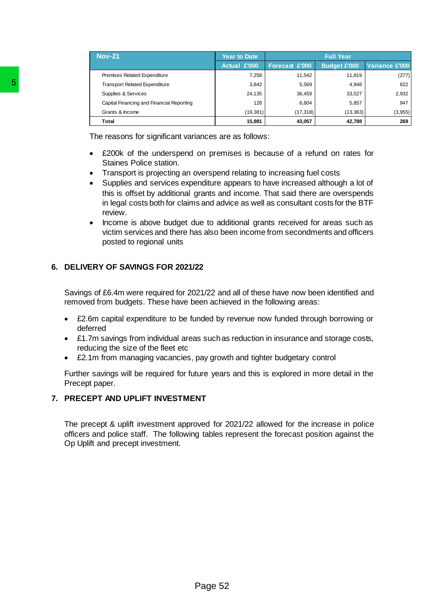|                            | <b>Nov-21</b>                                                                                                                                                                                                                                                                                                                                                                                                                                                                                                                                                                                                                                                                                                                                                                                                                                                                                                                                                                                                                                                                                                                                                                                                                                                                                                                                                                                                                                                                                                                                                                           | <b>Year to Date</b> |                     | <b>Full Year</b>    |                |
|----------------------------|-----------------------------------------------------------------------------------------------------------------------------------------------------------------------------------------------------------------------------------------------------------------------------------------------------------------------------------------------------------------------------------------------------------------------------------------------------------------------------------------------------------------------------------------------------------------------------------------------------------------------------------------------------------------------------------------------------------------------------------------------------------------------------------------------------------------------------------------------------------------------------------------------------------------------------------------------------------------------------------------------------------------------------------------------------------------------------------------------------------------------------------------------------------------------------------------------------------------------------------------------------------------------------------------------------------------------------------------------------------------------------------------------------------------------------------------------------------------------------------------------------------------------------------------------------------------------------------------|---------------------|---------------------|---------------------|----------------|
|                            |                                                                                                                                                                                                                                                                                                                                                                                                                                                                                                                                                                                                                                                                                                                                                                                                                                                                                                                                                                                                                                                                                                                                                                                                                                                                                                                                                                                                                                                                                                                                                                                         | Actual £'000        | Forecast £'000      | <b>Budget £'000</b> | Variance £'000 |
|                            | Premises Related Expenditure                                                                                                                                                                                                                                                                                                                                                                                                                                                                                                                                                                                                                                                                                                                                                                                                                                                                                                                                                                                                                                                                                                                                                                                                                                                                                                                                                                                                                                                                                                                                                            | 7,258               | 11,542              | 11,819              | (277)          |
| 5                          | <b>Transport Related Expenditure</b>                                                                                                                                                                                                                                                                                                                                                                                                                                                                                                                                                                                                                                                                                                                                                                                                                                                                                                                                                                                                                                                                                                                                                                                                                                                                                                                                                                                                                                                                                                                                                    | 3,842               | 5,569               | 4,948               | 622            |
|                            | Supplies & Services                                                                                                                                                                                                                                                                                                                                                                                                                                                                                                                                                                                                                                                                                                                                                                                                                                                                                                                                                                                                                                                                                                                                                                                                                                                                                                                                                                                                                                                                                                                                                                     | 24,135              | 36,459              | 33,527              | 2,932          |
|                            | Capital Financing and Financial Reporting                                                                                                                                                                                                                                                                                                                                                                                                                                                                                                                                                                                                                                                                                                                                                                                                                                                                                                                                                                                                                                                                                                                                                                                                                                                                                                                                                                                                                                                                                                                                               | 128                 | 6,804               | 5,857               | 947            |
|                            | Grants & Income<br><b>Total</b>                                                                                                                                                                                                                                                                                                                                                                                                                                                                                                                                                                                                                                                                                                                                                                                                                                                                                                                                                                                                                                                                                                                                                                                                                                                                                                                                                                                                                                                                                                                                                         | (19, 381)<br>15,981 | (17, 318)<br>43,057 | (13, 363)<br>42,788 | (3,955)<br>269 |
|                            |                                                                                                                                                                                                                                                                                                                                                                                                                                                                                                                                                                                                                                                                                                                                                                                                                                                                                                                                                                                                                                                                                                                                                                                                                                                                                                                                                                                                                                                                                                                                                                                         |                     |                     |                     |                |
| deferred<br>Precept paper. | The reasons for significant variances are as follows:<br>£200k of the underspend on premises is because of a refund on rates for<br><b>Staines Police station.</b><br>Transport is projecting an overspend relating to increasing fuel costs<br>Supplies and services expenditure appears to have increased although a lot of<br>this is offset by additional grants and income. That said there are overspends<br>in legal costs both for claims and advice as well as consultant costs for the BTF<br>review.<br>Income is above budget due to additional grants received for areas such as<br>victim services and there has also been income from secondments and officers<br>posted to regional units<br>6. DELIVERY OF SAVINGS FOR 2021/22<br>Savings of £6.4m were required for 2021/22 and all of these have now been identified and<br>removed from budgets. These have been achieved in the following areas:<br>£2.6m capital expenditure to be funded by revenue now funded through borrowing or<br>£1.7m savings from individual areas such as reduction in insurance and storage costs,<br>reducing the size of the fleet etc<br>£2.1m from managing vacancies, pay growth and tighter budgetary control<br>Further savings will be required for future years and this is explored in more detail in the<br>7. PRECEPT AND UPLIFT INVESTMENT<br>The precept & uplift investment approved for 2021/22 allowed for the increase in police<br>officers and police staff. The following tables represent the forecast position against the<br>Op Uplift and precept investment. |                     |                     |                     |                |
|                            | Page 52                                                                                                                                                                                                                                                                                                                                                                                                                                                                                                                                                                                                                                                                                                                                                                                                                                                                                                                                                                                                                                                                                                                                                                                                                                                                                                                                                                                                                                                                                                                                                                                 |                     |                     |                     |                |

- £200k of the underspend on premises is because of a refund on rates for Staines Police station.
- Transport is projecting an overspend relating to increasing fuel costs
- Supplies and services expenditure appears to have increased although a lot of this is offset by additional grants and income. That said there are overspends in legal costs both for claims and advice as well as consultant costs for the BTF review.
- Income is above budget due to additional grants received for areas such as victim services and there has also been income from secondments and officers posted to regional units

## **6. DELIVERY OF SAVINGS FOR 2021/22**

- £2.6m capital expenditure to be funded by revenue now funded through borrowing or deferred
- £1.7m savings from individual areas such as reduction in insurance and storage costs, reducing the size of the fleet etc
- £2.1m from managing vacancies, pay growth and tighter budgetary control

## **7. PRECEPT AND UPLIFT INVESTMENT**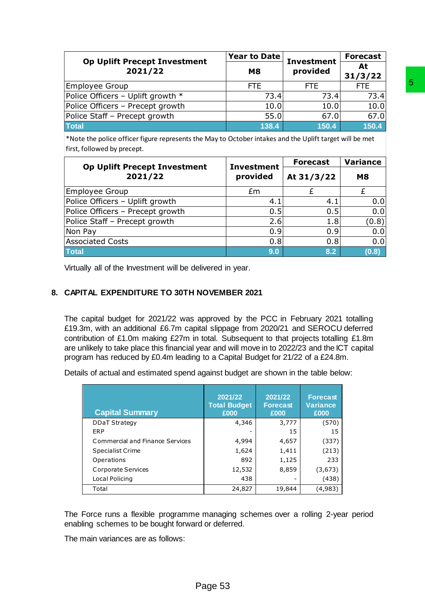| <b>Op Uplift Precept Investment</b> | Year to Date | <b>Investment</b> | <b>Forecast</b> |
|-------------------------------------|--------------|-------------------|-----------------|
| 2021/22                             | M8           | provided          | At<br>31/3/22   |
| Employee Group                      | <b>FTE</b>   | FTE.              | FTE.            |
| Police Officers - Uplift growth *   | 73.4         | 73.4              | 73.4            |
| Police Officers - Precept growth    | 10.0         | 10.0              | 10.0            |
| Police Staff - Precept growth       | 55.0         | 67.0              | 67.0            |
| Total                               | 138.4        | 150.4             | 150.4           |

| Employee Group<br>Police Officers - Uplift growth *<br>Police Officers - Precept growth<br>Police Staff - Precept growth<br><b>Total</b><br>*Note the police officer figure represents the May to October intakes and the Uplift target will be met<br>first, followed by precept.<br><b>Op Uplift Precept Investment</b><br>2021/22<br>Employee Group                                                                                                                                                                                                                                            | <b>FTE</b><br><b>Investment</b> | 73.4<br>10.0<br>55.0<br>138.4 | <b>FTE</b>      | 73.4<br>10.0<br>67.0<br>150.4 | <b>FTE</b><br>73.4<br>10.0<br>67.0<br>150.4 |
|---------------------------------------------------------------------------------------------------------------------------------------------------------------------------------------------------------------------------------------------------------------------------------------------------------------------------------------------------------------------------------------------------------------------------------------------------------------------------------------------------------------------------------------------------------------------------------------------------|---------------------------------|-------------------------------|-----------------|-------------------------------|---------------------------------------------|
|                                                                                                                                                                                                                                                                                                                                                                                                                                                                                                                                                                                                   |                                 |                               |                 |                               |                                             |
|                                                                                                                                                                                                                                                                                                                                                                                                                                                                                                                                                                                                   |                                 |                               |                 |                               |                                             |
|                                                                                                                                                                                                                                                                                                                                                                                                                                                                                                                                                                                                   |                                 |                               |                 |                               |                                             |
|                                                                                                                                                                                                                                                                                                                                                                                                                                                                                                                                                                                                   |                                 |                               |                 |                               |                                             |
|                                                                                                                                                                                                                                                                                                                                                                                                                                                                                                                                                                                                   |                                 |                               |                 |                               |                                             |
|                                                                                                                                                                                                                                                                                                                                                                                                                                                                                                                                                                                                   |                                 |                               |                 |                               |                                             |
|                                                                                                                                                                                                                                                                                                                                                                                                                                                                                                                                                                                                   |                                 |                               |                 |                               |                                             |
|                                                                                                                                                                                                                                                                                                                                                                                                                                                                                                                                                                                                   |                                 |                               | <b>Forecast</b> |                               | <b>Variance</b>                             |
|                                                                                                                                                                                                                                                                                                                                                                                                                                                                                                                                                                                                   | provided                        |                               | At 31/3/22      |                               | <b>M8</b>                                   |
|                                                                                                                                                                                                                                                                                                                                                                                                                                                                                                                                                                                                   | £m                              |                               | £               |                               | £                                           |
| Police Officers - Uplift growth                                                                                                                                                                                                                                                                                                                                                                                                                                                                                                                                                                   |                                 | 4.1                           |                 | 4.1                           | 0.0                                         |
| Police Officers - Precept growth                                                                                                                                                                                                                                                                                                                                                                                                                                                                                                                                                                  |                                 | 0.5                           |                 | 0.5                           | 0.0                                         |
| Police Staff - Precept growth                                                                                                                                                                                                                                                                                                                                                                                                                                                                                                                                                                     |                                 | 2.6                           |                 | 1.8                           | (0.8)                                       |
| Non Pay                                                                                                                                                                                                                                                                                                                                                                                                                                                                                                                                                                                           |                                 | 0.9                           |                 | 0.9                           | 0.0                                         |
| <b>Associated Costs</b>                                                                                                                                                                                                                                                                                                                                                                                                                                                                                                                                                                           |                                 | 0.8                           |                 | 0.8                           | 0.0                                         |
| <b>Total</b>                                                                                                                                                                                                                                                                                                                                                                                                                                                                                                                                                                                      |                                 | 9.0                           |                 | 8.2                           | (0.8)                                       |
| Virtually all of the Investment will be delivered in year.                                                                                                                                                                                                                                                                                                                                                                                                                                                                                                                                        |                                 |                               |                 |                               |                                             |
|                                                                                                                                                                                                                                                                                                                                                                                                                                                                                                                                                                                                   |                                 |                               |                 |                               |                                             |
|                                                                                                                                                                                                                                                                                                                                                                                                                                                                                                                                                                                                   |                                 |                               |                 |                               |                                             |
|                                                                                                                                                                                                                                                                                                                                                                                                                                                                                                                                                                                                   |                                 |                               |                 |                               |                                             |
| <b>CAPITAL EXPENDITURE TO 30TH NOVEMBER 2021</b><br>The capital budget for 2021/22 was approved by the PCC in February 2021 totalling<br>£19.3m, with an additional £6.7m capital slippage from 2020/21 and SEROCU deferred<br>contribution of £1.0m making £27m in total. Subsequent to that projects totalling £1.8m<br>are unlikely to take place this financial year and will move in to 2022/23 and the ICT capital<br>program has reduced by £0.4m leading to a Capital Budget for 21/22 of a £24.8m.<br>Details of actual and estimated spend against budget are shown in the table below: |                                 |                               |                 |                               |                                             |
|                                                                                                                                                                                                                                                                                                                                                                                                                                                                                                                                                                                                   | 2021/22                         | 2021/22                       |                 | <b>Forecast</b>               |                                             |
|                                                                                                                                                                                                                                                                                                                                                                                                                                                                                                                                                                                                   | <b>Total Budget</b>             | <b>Forecast</b>               |                 | <b>Variance</b>               |                                             |
| <b>Capital Summary</b>                                                                                                                                                                                                                                                                                                                                                                                                                                                                                                                                                                            | £000                            | £000                          |                 | £000                          |                                             |
| <b>DDaT Strategy</b>                                                                                                                                                                                                                                                                                                                                                                                                                                                                                                                                                                              | 4,346                           |                               | 3,777           | (570)                         |                                             |
| ERP                                                                                                                                                                                                                                                                                                                                                                                                                                                                                                                                                                                               |                                 |                               | 15              | 15                            |                                             |
| Commercial and Finance Services                                                                                                                                                                                                                                                                                                                                                                                                                                                                                                                                                                   | 4,994                           |                               | 4,657           | (337)                         |                                             |
| <b>Specialist Crime</b>                                                                                                                                                                                                                                                                                                                                                                                                                                                                                                                                                                           | 1,624                           |                               | 1,411           | (213)                         |                                             |
| Operations                                                                                                                                                                                                                                                                                                                                                                                                                                                                                                                                                                                        | 892                             |                               | 1,125           | 233                           |                                             |
| Corporate Services                                                                                                                                                                                                                                                                                                                                                                                                                                                                                                                                                                                | 12,532                          |                               | 8,859           | (3,673)                       |                                             |
| Local Policing<br>Total                                                                                                                                                                                                                                                                                                                                                                                                                                                                                                                                                                           | 438<br>24,827                   |                               | 19,844          | (438)<br>(4,983)              |                                             |

## **8. CAPITAL EXPENDITURE TO 30TH NOVEMBER 2021**

| <b>Capital Summary</b>          | 2021/22<br><b>Total Budget</b><br>£000 | 2021/22<br><b>Forecast</b><br>£000 | <b>Forecast</b><br><b>Variance</b><br>£000 |
|---------------------------------|----------------------------------------|------------------------------------|--------------------------------------------|
| <b>DDaT Strategy</b>            | 4,346                                  | 3,777                              | (570)                                      |
| ERP                             |                                        | 15                                 | 15                                         |
| Commercial and Finance Services | 4,994                                  | 4,657                              | (337)                                      |
| <b>Specialist Crime</b>         | 1,624                                  | 1,411                              | (213)                                      |
| Operations                      | 892                                    | 1,125                              | 233                                        |
| Corporate Services              | 12,532                                 | 8,859                              | (3,673)                                    |
| Local Policing                  | 438                                    |                                    | (438)                                      |
| Total                           | 24,827                                 | 19,844                             | (4,983)                                    |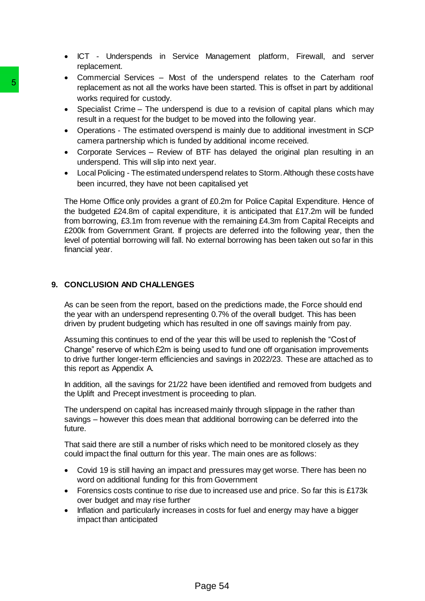- ICT Underspends in Service Management platform, Firewall, and server replacement.
- Commercial Services Most of the underspend relates to the Caterham roof replacement as not all the works have been started. This is offset in part by additional works required for custody.
- Specialist Crime The underspend is due to a revision of capital plans which may result in a request for the budget to be moved into the following year.
- Operations The estimated overspend is mainly due to additional investment in SCP camera partnership which is funded by additional income received.
- Corporate Services Review of BTF has delayed the original plan resulting in an underspend. This will slip into next year.
- Local Policing The estimated underspend relates to Storm. Although these costs have been incurred, they have not been capitalised yet

The Home Office only provides a grant of £0.2m for Police Capital Expenditure. Hence of the budgeted £24.8m of capital expenditure, it is anticipated that £17.2m will be funded from borrowing, £3.1m from revenue with the remaining £4.3m from Capital Receipts and £200k from Government Grant. If projects are deferred into the following year, then the level of potential borrowing will fall. No external borrowing has been taken out so far in this financial year. For the model of control the model of the model of the model of the model of the model of the model of the model of the model of the model of the model of the model of the model of the model of the model of the model of th

## **9. CONCLUSION AND CHALLENGES**

As can be seen from the report, based on the predictions made, the Force should end the year with an underspend representing 0.7% of the overall budget. This has been driven by prudent budgeting which has resulted in one off savings mainly from pay.

Assuming this continues to end of the year this will be used to replenish the "Cost of Change" reserve of which £2m is being used to fund one off organisation improvements to drive further longer-term efficiencies and savings in 2022/23. These are attached as to this report as Appendix A.

In addition, all the savings for 21/22 have been identified and removed from budgets and the Uplift and Precept investment is proceeding to plan.

The underspend on capital has increased mainly through slippage in the rather than savings – however this does mean that additional borrowing can be deferred into the future.

That said there are still a number of risks which need to be monitored closely as they could impact the final outturn for this year. The main ones are as follows:

- Covid 19 is still having an impact and pressures may get worse. There has been no word on additional funding for this from Government
- Forensics costs continue to rise due to increased use and price. So far this is £173k over budget and may rise further
- Inflation and particularly increases in costs for fuel and energy may have a bigger impact than anticipated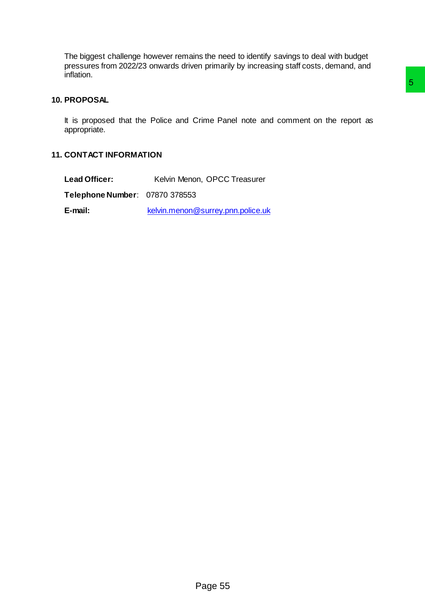The biggest challenge however remains the need to identify savings to deal with budget pressures from 2022/23 onwards driven primarily by increasing staff costs, demand, and inflation.

## **10. PROPOSAL**

It is proposed that the Police and Crime Panel note and comment on the report as appropriate. Strime Panel note and comment on the report as<br>an, OPCC Treasurer<br>i.<br><u>@surrey.pnn.police.uk</u>

## **11. CONTACT INFORMATION**

| <b>Lead Officer:</b>           | Kelvin Menon, OPCC Treasurer      |
|--------------------------------|-----------------------------------|
| Telephone Number: 07870 378553 |                                   |
| E-mail:                        | kelvin.menon@surrey.pnn.police.uk |